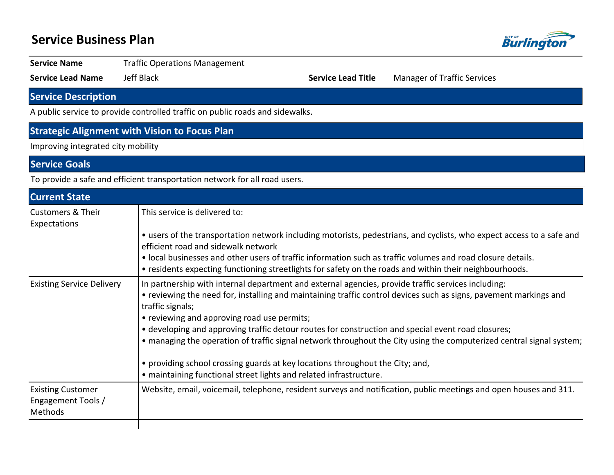# **Service Business Plan Burlingto Service Name Traffic Operations Management Service Lead Name** Jeff Black **Service Lead Title** Manager of Traffic Services **Service Description**

A public service to provide controlled traffic on public roads and sidewalks.

## **Strategic Alignment with Vision to Focus Plan**

Improving integrated city mobility

**Service Goals**

To provide a safe and efficient transportation network for all road users.

| <b>Current State</b>                                      |                                                                                                                                                                                                                                                                                                                                                                                                                                                                                                                                                                                                                                                                                 |
|-----------------------------------------------------------|---------------------------------------------------------------------------------------------------------------------------------------------------------------------------------------------------------------------------------------------------------------------------------------------------------------------------------------------------------------------------------------------------------------------------------------------------------------------------------------------------------------------------------------------------------------------------------------------------------------------------------------------------------------------------------|
| Customers & Their<br>Expectations                         | This service is delivered to:                                                                                                                                                                                                                                                                                                                                                                                                                                                                                                                                                                                                                                                   |
|                                                           | • users of the transportation network including motorists, pedestrians, and cyclists, who expect access to a safe and<br>efficient road and sidewalk network                                                                                                                                                                                                                                                                                                                                                                                                                                                                                                                    |
|                                                           | • local businesses and other users of traffic information such as traffic volumes and road closure details.<br>• residents expecting functioning streetlights for safety on the roads and within their neighbourhoods.                                                                                                                                                                                                                                                                                                                                                                                                                                                          |
| <b>Existing Service Delivery</b>                          | In partnership with internal department and external agencies, provide traffic services including:<br>• reviewing the need for, installing and maintaining traffic control devices such as signs, pavement markings and<br>traffic signals;<br>• reviewing and approving road use permits;<br>• developing and approving traffic detour routes for construction and special event road closures;<br>• managing the operation of traffic signal network throughout the City using the computerized central signal system;<br>• providing school crossing guards at key locations throughout the City; and,<br>• maintaining functional street lights and related infrastructure. |
| <b>Existing Customer</b><br>Engagement Tools /<br>Methods | Website, email, voicemail, telephone, resident surveys and notification, public meetings and open houses and 311.                                                                                                                                                                                                                                                                                                                                                                                                                                                                                                                                                               |
|                                                           |                                                                                                                                                                                                                                                                                                                                                                                                                                                                                                                                                                                                                                                                                 |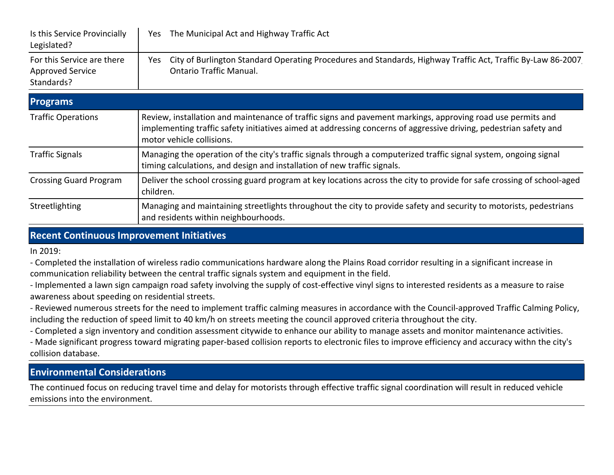| Is this Service Provincially<br>Legislated?                         | The Municipal Act and Highway Traffic Act<br>Yes                                                                                                                                                                                                              |  |  |  |  |
|---------------------------------------------------------------------|---------------------------------------------------------------------------------------------------------------------------------------------------------------------------------------------------------------------------------------------------------------|--|--|--|--|
| For this Service are there<br><b>Approved Service</b><br>Standards? | City of Burlington Standard Operating Procedures and Standards, Highway Traffic Act, Traffic By-Law 86-2007<br>Yes<br><b>Ontario Traffic Manual.</b>                                                                                                          |  |  |  |  |
| <b>Programs</b>                                                     |                                                                                                                                                                                                                                                               |  |  |  |  |
| <b>Traffic Operations</b>                                           | Review, installation and maintenance of traffic signs and pavement markings, approving road use permits and<br>implementing traffic safety initiatives aimed at addressing concerns of aggressive driving, pedestrian safety and<br>motor vehicle collisions. |  |  |  |  |
| <b>Traffic Signals</b>                                              | Managing the operation of the city's traffic signals through a computerized traffic signal system, ongoing signal<br>timing calculations, and design and installation of new traffic signals.                                                                 |  |  |  |  |
| <b>Crossing Guard Program</b>                                       | Deliver the school crossing guard program at key locations across the city to provide for safe crossing of school-aged<br>children.                                                                                                                           |  |  |  |  |
| Streetlighting                                                      | Managing and maintaining streetlights throughout the city to provide safety and security to motorists, pedestrians<br>and residents within neighbourhoods.                                                                                                    |  |  |  |  |

#### **Recent Continuous Improvement Initiatives**

In 2019:

- Completed the installation of wireless radio communications hardware along the Plains Road corridor resulting in a significant increase in communication reliability between the central traffic signals system and equipment in the field.

- Implemented a lawn sign campaign road safety involving the supply of cost-effective vinyl signs to interested residents as a measure to raise awareness about speeding on residential streets.

- Reviewed numerous streets for the need to implement traffic calming measures in accordance with the Council-approved Traffic Calming Policy, including the reduction of speed limit to 40 km/h on streets meeting the council approved criteria throughout the city.

- Completed a sign inventory and condition assessment citywide to enhance our ability to manage assets and monitor maintenance activities.

- Made significant progress toward migrating paper-based collision reports to electronic files to improve efficiency and accuracy withn the city's collision database.

### **Environmental Considerations**

The continued focus on reducing travel time and delay for motorists through effective traffic signal coordination will result in reduced vehicle emissions into the environment.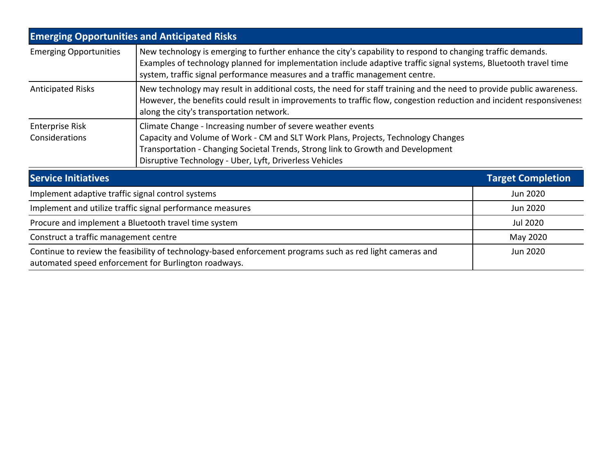| <b>Emerging Opportunities and Anticipated Risks</b>                                                                                                                           |                                                                                                                                                                                                                                                                                                                 |                          |  |  |  |
|-------------------------------------------------------------------------------------------------------------------------------------------------------------------------------|-----------------------------------------------------------------------------------------------------------------------------------------------------------------------------------------------------------------------------------------------------------------------------------------------------------------|--------------------------|--|--|--|
| <b>Emerging Opportunities</b>                                                                                                                                                 | New technology is emerging to further enhance the city's capability to respond to changing traffic demands.<br>Examples of technology planned for implementation include adaptive traffic signal systems, Bluetooth travel time<br>system, traffic signal performance measures and a traffic management centre. |                          |  |  |  |
| <b>Anticipated Risks</b>                                                                                                                                                      | New technology may result in additional costs, the need for staff training and the need to provide public awareness.<br>However, the benefits could result in improvements to traffic flow, congestion reduction and incident responsiveness<br>along the city's transportation network.                        |                          |  |  |  |
| <b>Enterprise Risk</b><br>Considerations                                                                                                                                      | Climate Change - Increasing number of severe weather events<br>Capacity and Volume of Work - CM and SLT Work Plans, Projects, Technology Changes<br>Transportation - Changing Societal Trends, Strong link to Growth and Development<br>Disruptive Technology - Uber, Lyft, Driverless Vehicles                 |                          |  |  |  |
| <b>Service Initiatives</b>                                                                                                                                                    |                                                                                                                                                                                                                                                                                                                 | <b>Target Completion</b> |  |  |  |
| Implement adaptive traffic signal control systems                                                                                                                             | Jun 2020                                                                                                                                                                                                                                                                                                        |                          |  |  |  |
| Implement and utilize traffic signal performance measures                                                                                                                     | Jun 2020                                                                                                                                                                                                                                                                                                        |                          |  |  |  |
| Procure and implement a Bluetooth travel time system                                                                                                                          | Jul 2020                                                                                                                                                                                                                                                                                                        |                          |  |  |  |
| Construct a traffic management centre                                                                                                                                         | May 2020                                                                                                                                                                                                                                                                                                        |                          |  |  |  |
| Continue to review the feasibility of technology-based enforcement programs such as red light cameras and<br>Jun 2020<br>automated speed enforcement for Burlington roadways. |                                                                                                                                                                                                                                                                                                                 |                          |  |  |  |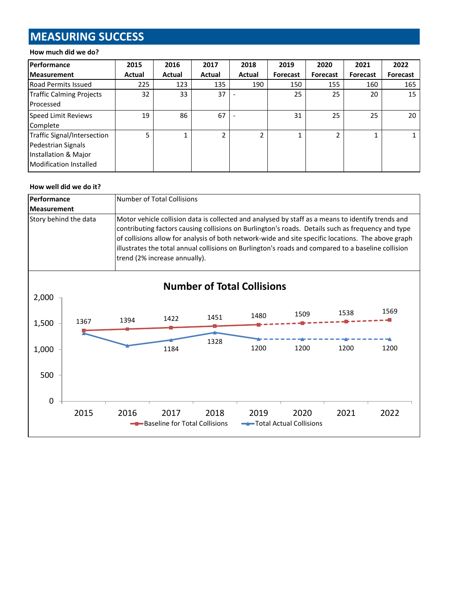## **MEASURING SUCCESS**

#### **How much did we do?**

| <b>Performance</b>                                                                                  | 2015   | 2016   | 2017          | 2018           | 2019            | 2020            | 2021            | 2022     |
|-----------------------------------------------------------------------------------------------------|--------|--------|---------------|----------------|-----------------|-----------------|-----------------|----------|
| <b>Measurement</b>                                                                                  | Actual | Actual | <b>Actual</b> | Actual         | <b>Forecast</b> | <b>Forecast</b> | <b>Forecast</b> | Forecast |
| Road Permits Issued                                                                                 | 225    | 123    | 135           | 190            | 150             | 155             | 160             | 165      |
| Traffic Calming Projects<br>Processed                                                               | 32     | 33     | 37            |                | 25              | 25              | 20              | 15       |
| <b>Speed Limit Reviews</b><br>Complete                                                              | 19     | 86     | 67            |                | 31              | 25              | 25              | 20       |
| Traffic Signal/Intersection<br>Pedestrian Signals<br>Installation & Major<br>Modification Installed | 5      |        |               | $\overline{2}$ |                 |                 |                 |          |

#### **How well did we do it?**

| <b>Performance</b> |                       |      | Number of Total Collisions                                                                                                                                                                                                                                                                                                                                                                                                                          |      |                                   |                                 |      |      |  |  |
|--------------------|-----------------------|------|-----------------------------------------------------------------------------------------------------------------------------------------------------------------------------------------------------------------------------------------------------------------------------------------------------------------------------------------------------------------------------------------------------------------------------------------------------|------|-----------------------------------|---------------------------------|------|------|--|--|
| <b>Measurement</b> |                       |      |                                                                                                                                                                                                                                                                                                                                                                                                                                                     |      |                                   |                                 |      |      |  |  |
|                    | Story behind the data |      | Motor vehicle collision data is collected and analysed by staff as a means to identify trends and<br>contributing factors causing collisions on Burlington's roads. Details such as frequency and type<br>of collisions allow for analysis of both network-wide and site specific locations. The above graph<br>illustrates the total annual collisions on Burlington's roads and compared to a baseline collision<br>trend (2% increase annually). |      |                                   |                                 |      |      |  |  |
| 2,000              |                       |      |                                                                                                                                                                                                                                                                                                                                                                                                                                                     |      | <b>Number of Total Collisions</b> |                                 |      |      |  |  |
| 1,500              | 1367                  | 1394 | 1422                                                                                                                                                                                                                                                                                                                                                                                                                                                | 1451 | 1480                              | 1509                            | 1538 | 1569 |  |  |
| 1,000              |                       |      | 1184                                                                                                                                                                                                                                                                                                                                                                                                                                                | 1328 | 1200                              | 1200                            | 1200 | 1200 |  |  |
| 500                |                       |      |                                                                                                                                                                                                                                                                                                                                                                                                                                                     |      |                                   |                                 |      |      |  |  |
| $\mathbf 0$        |                       |      |                                                                                                                                                                                                                                                                                                                                                                                                                                                     |      |                                   |                                 |      |      |  |  |
|                    | 2015                  | 2016 | 2017<br>- Baseline for Total Collisions                                                                                                                                                                                                                                                                                                                                                                                                             | 2018 | 2019                              | 2020<br>Total Actual Collisions | 2021 | 2022 |  |  |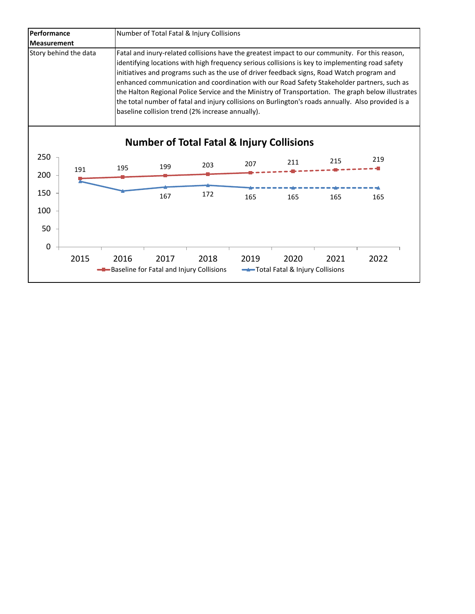| Performance           | Number of Total Fatal & Injury Collisions                                                                                                                                                                                                                                                                                                                                                                                                                                                                                                                                                                                                                    |  |  |  |  |  |
|-----------------------|--------------------------------------------------------------------------------------------------------------------------------------------------------------------------------------------------------------------------------------------------------------------------------------------------------------------------------------------------------------------------------------------------------------------------------------------------------------------------------------------------------------------------------------------------------------------------------------------------------------------------------------------------------------|--|--|--|--|--|
| <b>Measurement</b>    |                                                                                                                                                                                                                                                                                                                                                                                                                                                                                                                                                                                                                                                              |  |  |  |  |  |
| Story behind the data | Fatal and inury-related collisions have the greatest impact to our community. For this reason,<br>identifying locations with high frequency serious collisions is key to implementing road safety<br>initiatives and programs such as the use of driver feedback signs, Road Watch program and<br>enhanced communication and coordination with our Road Safety Stakeholder partners, such as<br>the Halton Regional Police Service and the Ministry of Transportation. The graph below illustrates<br>the total number of fatal and injury collisions on Burlington's roads annually. Also provided is a<br>baseline collision trend (2% increase annually). |  |  |  |  |  |

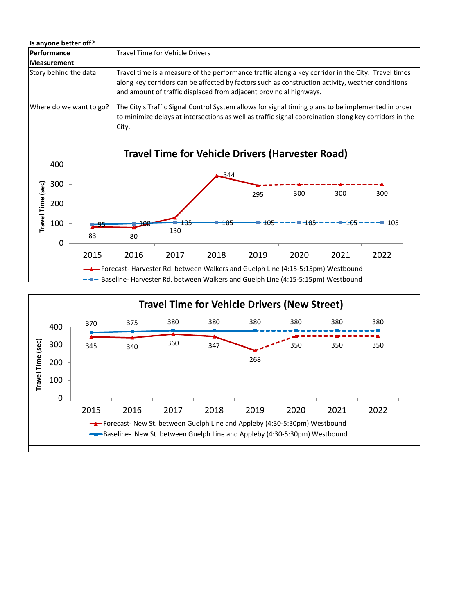| Is anyone better off?   |                                                                                                                                                                                                                                                                              |
|-------------------------|------------------------------------------------------------------------------------------------------------------------------------------------------------------------------------------------------------------------------------------------------------------------------|
| Performance             | Travel Time for Vehicle Drivers                                                                                                                                                                                                                                              |
| Measurement             |                                                                                                                                                                                                                                                                              |
| Story behind the data   | Travel time is a measure of the performance traffic along a key corridor in the City. Travel times<br>along key corridors can be affected by factors such as construction activity, weather conditions<br>and amount of traffic displaced from adjacent provincial highways. |
| Where do we want to go? | The City's Traffic Signal Control System allows for signal timing plans to be implemented in order<br>to minimize delays at intersections as well as traffic signal coordination along key corridors in the<br>City.                                                         |



2015 2016 2017 2018 2019 2020 2021 2022

Forecast- New St. between Guelph Line and Appleby (4:30-5:30pm) Westbound **-Baseline- New St. between Guelph Line and Appleby (4:30-5:30pm) Westbound** 

0